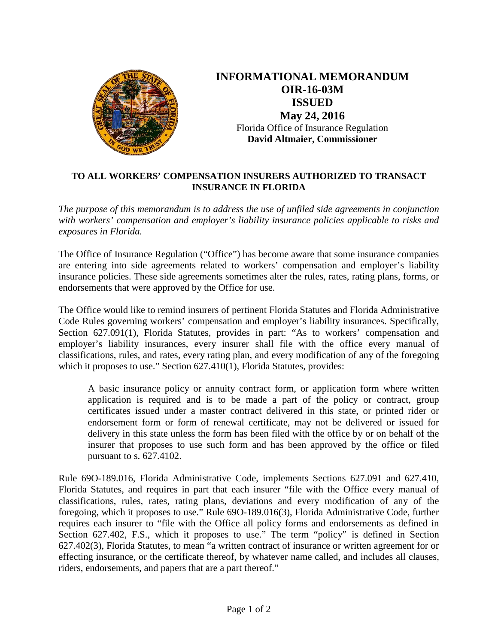

**INFORMATIONAL MEMORANDUM OIR-16-03M ISSUED May 24, 2016**  Florida Office of Insurance Regulation **David Altmaier, Commissioner** 

## **TO ALL WORKERS' COMPENSATION INSURERS AUTHORIZED TO TRANSACT INSURANCE IN FLORIDA**

*The purpose of this memorandum is to address the use of unfiled side agreements in conjunction with workers' compensation and employer's liability insurance policies applicable to risks and exposures in Florida.*

The Office of Insurance Regulation ("Office") has become aware that some insurance companies are entering into side agreements related to workers' compensation and employer's liability insurance policies. These side agreements sometimes alter the rules, rates, rating plans, forms, or endorsements that were approved by the Office for use.

The Office would like to remind insurers of pertinent Florida Statutes and Florida Administrative Code Rules governing workers' compensation and employer's liability insurances. Specifically, Section 627.091(1), Florida Statutes, provides in part: "As to workers' compensation and employer's liability insurances, every insurer shall file with the office every manual of classifications, rules, and rates, every rating plan, and every modification of any of the foregoing which it proposes to use." Section 627.410(1), Florida Statutes, provides:

A basic insurance policy or annuity contract form, or application form where written application is required and is to be made a part of the policy or contract, group certificates issued under a master contract delivered in this state, or printed rider or endorsement form or form of renewal certificate, may not be delivered or issued for delivery in this state unless the form has been filed with the office by or on behalf of the insurer that proposes to use such form and has been approved by the office or filed pursuant to s. 627.4102.

Rule 69O-189.016, Florida Administrative Code, implements Sections 627.091 and 627.410, Florida Statutes, and requires in part that each insurer "file with the Office every manual of classifications, rules, rates, rating plans, deviations and every modification of any of the foregoing, which it proposes to use." Rule 69O-189.016(3), Florida Administrative Code, further requires each insurer to "file with the Office all policy forms and endorsements as defined in Section 627.402, F.S., which it proposes to use." The term "policy" is defined in Section 627.402(3), Florida Statutes, to mean "a written contract of insurance or written agreement for or effecting insurance, or the certificate thereof, by whatever name called, and includes all clauses, riders, endorsements, and papers that are a part thereof."